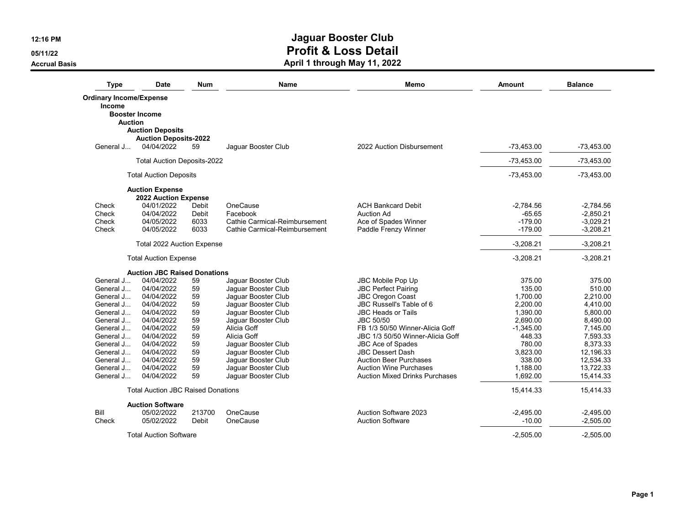**05/11/22**

**Accrual Basis**

| <b>Type</b>                    | Date                                      | <b>Num</b> | <b>Name</b>                   | Memo                                  | Amount       | <b>Balance</b> |
|--------------------------------|-------------------------------------------|------------|-------------------------------|---------------------------------------|--------------|----------------|
| <b>Ordinary Income/Expense</b> |                                           |            |                               |                                       |              |                |
| Income                         |                                           |            |                               |                                       |              |                |
|                                | <b>Booster Income</b>                     |            |                               |                                       |              |                |
| <b>Auction</b>                 |                                           |            |                               |                                       |              |                |
|                                | <b>Auction Deposits</b>                   |            |                               |                                       |              |                |
|                                | <b>Auction Deposits-2022</b>              |            |                               |                                       |              |                |
| General J                      | 04/04/2022                                | 59         | Jaquar Booster Club           | 2022 Auction Disbursement             | $-73,453.00$ | $-73,453.00$   |
|                                | <b>Total Auction Deposits-2022</b>        |            |                               |                                       | $-73,453.00$ | $-73,453.00$   |
|                                | <b>Total Auction Deposits</b>             |            |                               |                                       | $-73.453.00$ | $-73,453.00$   |
|                                | <b>Auction Expense</b>                    |            |                               |                                       |              |                |
|                                | 2022 Auction Expense                      |            |                               |                                       |              |                |
| Check                          | 04/01/2022                                | Debit      | OneCause                      | <b>ACH Bankcard Debit</b>             | $-2,784.56$  | $-2,784.56$    |
| Check                          | 04/04/2022                                | Debit      | Facebook                      | Auction Ad                            | $-65.65$     | $-2,850.21$    |
| Check                          | 04/05/2022                                | 6033       | Cathie Carmical-Reimbursement | Ace of Spades Winner                  | $-179.00$    | $-3,029.21$    |
| Check                          | 04/05/2022                                | 6033       | Cathie Carmical-Reimbursement | Paddle Frenzy Winner                  | $-179.00$    | $-3,208.21$    |
|                                | Total 2022 Auction Expense                |            |                               |                                       | $-3,208.21$  | $-3,208.21$    |
|                                | <b>Total Auction Expense</b>              |            |                               |                                       | $-3,208.21$  | $-3,208.21$    |
|                                | <b>Auction JBC Raised Donations</b>       |            |                               |                                       |              |                |
| General J                      | 04/04/2022                                | 59         | Jaquar Booster Club           | <b>JBC Mobile Pop Up</b>              | 375.00       | 375.00         |
| General J                      | 04/04/2022                                | 59         | Jaquar Booster Club           | <b>JBC Perfect Pairing</b>            | 135.00       | 510.00         |
| General J                      | 04/04/2022                                | 59         | Jaguar Booster Club           | <b>JBC Oregon Coast</b>               | 1,700.00     | 2,210.00       |
| General J                      | 04/04/2022                                | 59         | Jaquar Booster Club           | JBC Russell's Table of 6              | 2.200.00     | 4.410.00       |
| General J                      | 04/04/2022                                | 59         | Jaguar Booster Club           | <b>JBC Heads or Tails</b>             | 1,390.00     | 5,800.00       |
| General J                      | 04/04/2022                                | 59         | Jaguar Booster Club           | <b>JBC 50/50</b>                      | 2.690.00     | 8,490.00       |
| General J                      | 04/04/2022                                | 59         | Alicia Goff                   | FB 1/3 50/50 Winner-Alicia Goff       | $-1,345.00$  | 7,145.00       |
| General J                      | 04/04/2022                                | 59         | Alicia Goff                   | JBC 1/3 50/50 Winner-Alicia Goff      | 448.33       | 7,593.33       |
| General J                      | 04/04/2022                                | 59         | Jaquar Booster Club           | JBC Ace of Spades                     | 780.00       | 8,373.33       |
| General J                      | 04/04/2022                                | 59         | Jaquar Booster Club           | <b>JBC Dessert Dash</b>               | 3.823.00     | 12,196.33      |
| General J                      | 04/04/2022                                | 59         | Jaguar Booster Club           | <b>Auction Beer Purchases</b>         | 338.00       | 12,534.33      |
| General J                      | 04/04/2022                                | 59         | Jaquar Booster Club           | <b>Auction Wine Purchases</b>         | 1,188.00     | 13,722.33      |
| General J                      | 04/04/2022                                | 59         | Jaguar Booster Club           | <b>Auction Mixed Drinks Purchases</b> | 1,692.00     | 15,414.33      |
|                                | <b>Total Auction JBC Raised Donations</b> |            |                               |                                       | 15,414.33    | 15,414.33      |
|                                | <b>Auction Software</b>                   |            |                               |                                       |              |                |
| Bill                           | 05/02/2022                                | 213700     | OneCause                      | Auction Software 2023                 | $-2,495.00$  | $-2,495.00$    |
| Check                          | 05/02/2022                                | Debit      | OneCause                      | <b>Auction Software</b>               | $-10.00$     | $-2,505.00$    |
|                                | <b>Total Auction Software</b>             |            |                               |                                       | $-2,505.00$  | $-2.505.00$    |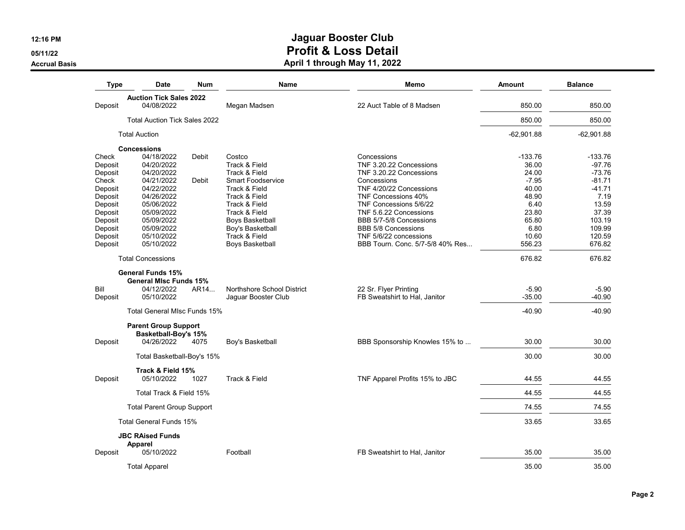**05/11/22Accrual Basis**

| <b>Type</b> | <b>Date</b>                                                | Num   | Name                       | Memo                             | Amount       | <b>Balance</b> |
|-------------|------------------------------------------------------------|-------|----------------------------|----------------------------------|--------------|----------------|
|             | <b>Auction Tick Sales 2022</b>                             |       |                            |                                  |              |                |
| Deposit     | 04/08/2022                                                 |       | Megan Madsen               | 22 Auct Table of 8 Madsen        | 850.00       | 850.00         |
|             | <b>Total Auction Tick Sales 2022</b>                       |       |                            |                                  | 850.00       | 850.00         |
|             | <b>Total Auction</b>                                       |       |                            |                                  | $-62,901.88$ | $-62,901.88$   |
|             | <b>Concessions</b>                                         |       |                            |                                  |              |                |
| Check       | 04/18/2022                                                 | Debit | Costco                     | Concessions                      | $-133.76$    | $-133.76$      |
| Deposit     | 04/20/2022                                                 |       | Track & Field              | TNF 3.20.22 Concessions          | 36.00        | $-97.76$       |
| Deposit     | 04/20/2022                                                 |       | Track & Field              | TNF 3.20.22 Concessions          | 24.00        | $-73.76$       |
| Check       | 04/21/2022                                                 | Debit | <b>Smart Foodservice</b>   | Concessions                      | $-7.95$      | $-81.71$       |
| Deposit     | 04/22/2022                                                 |       | Track & Field              | TNF 4/20/22 Concessions          | 40.00        | $-41.71$       |
| Deposit     | 04/26/2022                                                 |       | Track & Field              | TNF Concessions 40%              | 48.90        | 7.19           |
| Deposit     | 05/06/2022                                                 |       | Track & Field              | TNF Concessions 5/6/22           | 6.40         | 13.59          |
| Deposit     | 05/09/2022                                                 |       | Track & Field              | TNF 5.6.22 Concessions           | 23.80        | 37.39          |
| Deposit     | 05/09/2022                                                 |       | <b>Boys Basketball</b>     | BBB 5/7-5/8 Concessions          | 65.80        | 103.19         |
| Deposit     | 05/09/2022                                                 |       | Boy's Basketball           | <b>BBB 5/8 Concessions</b>       | 6.80         | 109.99         |
| Deposit     | 05/10/2022                                                 |       | Track & Field              | TNF 5/6/22 concessions           | 10.60        | 120.59         |
| Deposit     | 05/10/2022                                                 |       | <b>Boys Basketball</b>     | BBB Tourn. Conc. 5/7-5/8 40% Res | 556.23       | 676.82         |
|             | <b>Total Concessions</b>                                   |       |                            |                                  | 676.82       | 676.82         |
|             | <b>General Funds 15%</b>                                   |       |                            |                                  |              |                |
|             | <b>General MIsc Funds 15%</b>                              |       |                            |                                  |              |                |
| Bill        | 04/12/2022                                                 | AR14  | Northshore School District | 22 Sr. Flyer Printing            | $-5.90$      | $-5.90$        |
| Deposit     | 05/10/2022                                                 |       | Jaguar Booster Club        | FB Sweatshirt to Hal, Janitor    | $-35.00$     | $-40.90$       |
|             |                                                            |       |                            |                                  |              |                |
|             | <b>Total General MIsc Funds 15%</b>                        |       |                            |                                  | $-40.90$     | $-40.90$       |
|             | <b>Parent Group Support</b><br><b>Basketball-Boy's 15%</b> |       |                            |                                  |              |                |
| Deposit     | 04/26/2022                                                 | 4075  | Boy's Basketball           | BBB Sponsorship Knowles 15% to   | 30.00        | 30.00          |
|             | Total Basketball-Boy's 15%                                 |       |                            |                                  | 30.00        | 30.00          |
|             | Track & Field 15%                                          |       |                            |                                  |              |                |
| Deposit     | 05/10/2022                                                 | 1027  | Track & Field              | TNF Apparel Profits 15% to JBC   | 44.55        | 44.55          |
|             | Total Track & Field 15%                                    |       |                            |                                  | 44.55        | 44.55          |
|             | <b>Total Parent Group Support</b>                          |       |                            |                                  | 74.55        | 74.55          |
|             | <b>Total General Funds 15%</b>                             |       |                            |                                  | 33.65        | 33.65          |
|             | <b>JBC RAised Funds</b>                                    |       |                            |                                  |              |                |
| Deposit     | <b>Apparel</b><br>05/10/2022                               |       | Football                   | FB Sweatshirt to Hal, Janitor    | 35.00        | 35.00          |
|             | <b>Total Apparel</b>                                       |       |                            |                                  | 35.00        | 35.00          |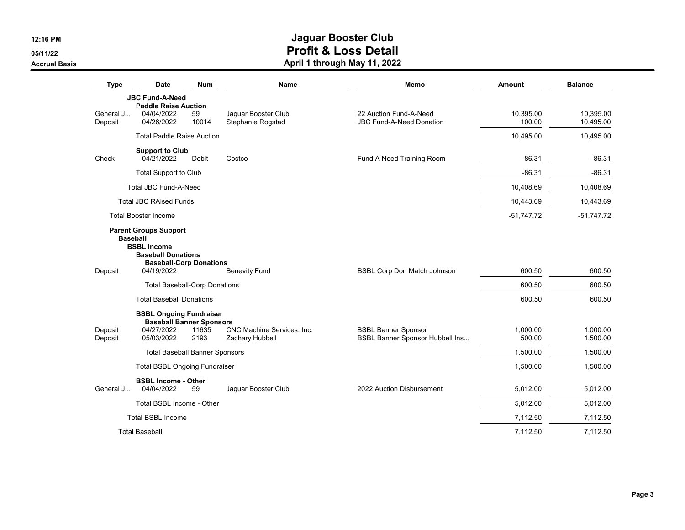**05/11/22**

**Accrual Basis**

| <b>Type</b>          | <b>Date</b>                                                               | <b>Num</b>    | Name                                          | Memo                                                          | <b>Amount</b>       | <b>Balance</b>         |
|----------------------|---------------------------------------------------------------------------|---------------|-----------------------------------------------|---------------------------------------------------------------|---------------------|------------------------|
|                      | <b>JBC Fund-A-Need</b>                                                    |               |                                               |                                                               |                     |                        |
| General J<br>Deposit | <b>Paddle Raise Auction</b><br>04/04/2022<br>04/26/2022                   | 59<br>10014   | Jaquar Booster Club<br>Stephanie Rogstad      | 22 Auction Fund-A-Need<br><b>JBC Fund-A-Need Donation</b>     | 10.395.00<br>100.00 | 10.395.00<br>10,495.00 |
|                      | <b>Total Paddle Raise Auction</b>                                         |               |                                               |                                                               | 10,495.00           | 10,495.00              |
|                      | <b>Support to Club</b><br>04/21/2022                                      |               |                                               |                                                               | $-86.31$            |                        |
| Check                |                                                                           | Debit         | Costco                                        | Fund A Need Training Room                                     |                     | $-86.31$               |
|                      | <b>Total Support to Club</b>                                              |               |                                               |                                                               | $-86.31$            | $-86.31$               |
|                      | <b>Total JBC Fund-A-Need</b>                                              |               |                                               |                                                               | 10,408.69           | 10,408.69              |
|                      | <b>Total JBC RAised Funds</b>                                             |               |                                               |                                                               | 10,443.69           | 10,443.69              |
|                      | <b>Total Booster Income</b>                                               |               |                                               |                                                               | $-51,747.72$        | $-51,747.72$           |
| Deposit              | <b>Baseball Donations</b><br><b>Baseball-Corp Donations</b><br>04/19/2022 |               | <b>Benevity Fund</b>                          | BSBL Corp Don Match Johnson                                   | 600.50              | 600.50                 |
|                      | <b>Total Baseball-Corp Donations</b>                                      |               |                                               |                                                               | 600.50              | 600.50                 |
|                      | <b>Total Baseball Donations</b>                                           |               |                                               |                                                               | 600.50              | 600.50                 |
|                      | <b>BSBL Ongoing Fundraiser</b>                                            |               |                                               |                                                               |                     |                        |
| Deposit<br>Deposit   | <b>Baseball Banner Sponsors</b><br>04/27/2022<br>05/03/2022               | 11635<br>2193 | CNC Machine Services, Inc.<br>Zachary Hubbell | <b>BSBL Banner Sponsor</b><br>BSBL Banner Sponsor Hubbell Ins | 1.000.00<br>500.00  | 1,000.00<br>1,500.00   |
|                      | <b>Total Baseball Banner Sponsors</b>                                     |               |                                               |                                                               | 1,500.00            | 1,500.00               |
|                      | <b>Total BSBL Ongoing Fundraiser</b>                                      |               |                                               |                                                               | 1,500.00            | 1,500.00               |
| General J            | <b>BSBL Income - Other</b><br>04/04/2022                                  | 59            | Jaguar Booster Club                           | 2022 Auction Disbursement                                     | 5.012.00            | 5,012.00               |
|                      | Total BSBL Income - Other                                                 |               |                                               |                                                               | 5,012.00            | 5.012.00               |
|                      | <b>Total BSBL Income</b>                                                  |               |                                               |                                                               | 7,112.50            | 7,112.50               |
|                      | <b>Total Baseball</b>                                                     |               |                                               |                                                               | 7.112.50            | 7.112.50               |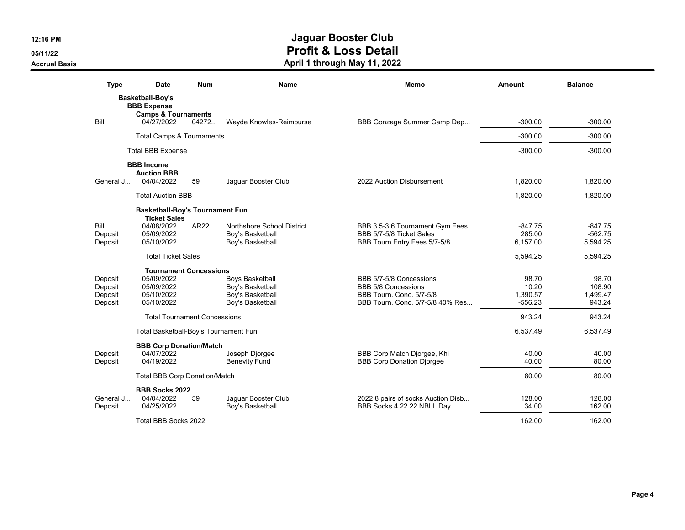**05/11/22**

**Accrual Basis**

| <b>Type</b> | <b>Date</b>                            | <b>Num</b> | <b>Name</b>                | Memo                                                        | Amount    | <b>Balance</b> |
|-------------|----------------------------------------|------------|----------------------------|-------------------------------------------------------------|-----------|----------------|
|             | Basketball-Boy's                       |            |                            |                                                             |           |                |
|             | <b>BBB</b> Expense                     |            |                            |                                                             |           |                |
|             | <b>Camps &amp; Tournaments</b>         |            |                            |                                                             |           |                |
| Bill        | 04/27/2022                             | 04272      | Wayde Knowles-Reimburse    | BBB Gonzaga Summer Camp Dep                                 | $-300.00$ | $-300.00$      |
|             | <b>Total Camps &amp; Tournaments</b>   |            |                            |                                                             | $-300.00$ | $-300.00$      |
|             | <b>Total BBB Expense</b>               |            |                            |                                                             | $-300.00$ | $-300.00$      |
|             | <b>BBB</b> Income                      |            |                            |                                                             |           |                |
|             | <b>Auction BBB</b>                     |            |                            |                                                             |           |                |
| General J   | 04/04/2022                             | 59         | Jaquar Booster Club        | 2022 Auction Disbursement                                   | 1,820.00  | 1,820.00       |
|             | <b>Total Auction BBB</b>               |            |                            |                                                             | 1,820.00  | 1,820.00       |
|             | <b>Basketball-Boy's Tournament Fun</b> |            |                            |                                                             |           |                |
| Bill        | <b>Ticket Sales</b><br>04/08/2022      | AR22       | Northshore School District |                                                             | $-847.75$ | $-847.75$      |
| Deposit     | 05/09/2022                             |            | Boy's Basketball           | BBB 3.5-3.6 Tournament Gym Fees<br>BBB 5/7-5/8 Ticket Sales | 285.00    | $-562.75$      |
| Deposit     | 05/10/2022                             |            | Boy's Basketball           | BBB Tourn Entry Fees 5/7-5/8                                | 6,157.00  | 5,594.25       |
|             | <b>Total Ticket Sales</b>              |            |                            |                                                             | 5,594.25  | 5,594.25       |
|             | <b>Tournament Concessions</b>          |            |                            |                                                             |           |                |
| Deposit     | 05/09/2022                             |            | Boys Basketball            | BBB 5/7-5/8 Concessions                                     | 98.70     | 98.70          |
| Deposit     | 05/09/2022                             |            | Boy's Basketball           | <b>BBB 5/8 Concessions</b>                                  | 10.20     | 108.90         |
| Deposit     | 05/10/2022                             |            | Boy's Basketball           | BBB Tourn, Conc. 5/7-5/8                                    | 1,390.57  | 1,499.47       |
| Deposit     | 05/10/2022                             |            | Boy's Basketball           | BBB Tourn, Conc. 5/7-5/8 40% Res                            | $-556.23$ | 943.24         |
|             | <b>Total Tournament Concessions</b>    |            |                            |                                                             | 943.24    | 943.24         |
|             | Total Basketball-Boy's Tournament Fun  |            |                            |                                                             | 6,537.49  | 6,537.49       |
|             | <b>BBB Corp Donation/Match</b>         |            |                            |                                                             |           |                |
| Deposit     | 04/07/2022                             |            | Joseph Djorgee             | BBB Corp Match Djorgee, Khi                                 | 40.00     | 40.00          |
| Deposit     | 04/19/2022                             |            | <b>Benevity Fund</b>       | <b>BBB Corp Donation Diorgee</b>                            | 40.00     | 80.00          |
|             | <b>Total BBB Corp Donation/Match</b>   |            |                            |                                                             | 80.00     | 80.00          |
|             | <b>BBB Socks 2022</b>                  |            |                            |                                                             |           |                |
| General J   | 04/04/2022                             | 59         | Jaguar Booster Club        | 2022 8 pairs of socks Auction Disb                          | 128.00    | 128.00         |
| Deposit     | 04/25/2022                             |            | Boy's Basketball           | BBB Socks 4.22.22 NBLL Day                                  | 34.00     | 162.00         |
|             | Total BBB Socks 2022                   |            |                            |                                                             | 162.00    | 162.00         |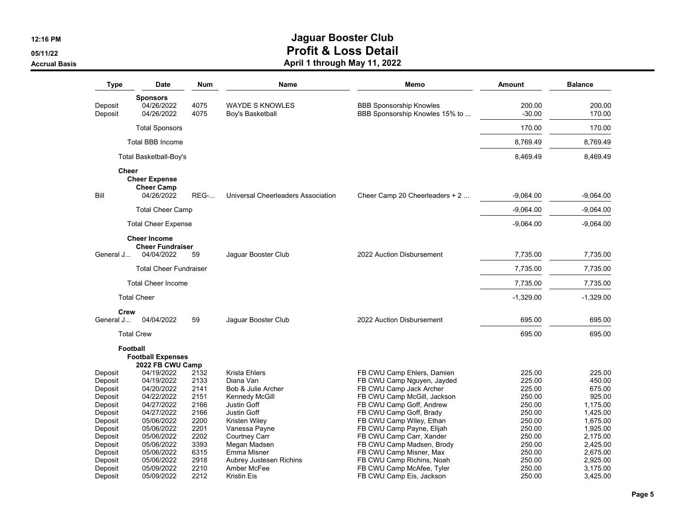**05/11/22**

#### **Accrual Basis**

| <b>Type</b>                                                                                                                                 | <b>Date</b>                                                                                                                                                                        | <b>Num</b>                                                                                           | Name                                                                                                                                                                                                                                | Memo                                                                                                                                                                                                                                                                                                                                                                             | Amount                                                                                                                         | <b>Balance</b>                                                                                                                                   |
|---------------------------------------------------------------------------------------------------------------------------------------------|------------------------------------------------------------------------------------------------------------------------------------------------------------------------------------|------------------------------------------------------------------------------------------------------|-------------------------------------------------------------------------------------------------------------------------------------------------------------------------------------------------------------------------------------|----------------------------------------------------------------------------------------------------------------------------------------------------------------------------------------------------------------------------------------------------------------------------------------------------------------------------------------------------------------------------------|--------------------------------------------------------------------------------------------------------------------------------|--------------------------------------------------------------------------------------------------------------------------------------------------|
| Deposit<br>Deposit                                                                                                                          | <b>Sponsors</b><br>04/26/2022<br>04/26/2022                                                                                                                                        | 4075<br>4075                                                                                         | <b>WAYDE S KNOWLES</b><br>Boy's Basketball                                                                                                                                                                                          | <b>BBB Sponsorship Knowles</b><br>BBB Sponsorship Knowles 15% to                                                                                                                                                                                                                                                                                                                 | 200.00<br>$-30.00$                                                                                                             | 200.00<br>170.00                                                                                                                                 |
|                                                                                                                                             | <b>Total Sponsors</b>                                                                                                                                                              |                                                                                                      |                                                                                                                                                                                                                                     |                                                                                                                                                                                                                                                                                                                                                                                  | 170.00                                                                                                                         | 170.00                                                                                                                                           |
|                                                                                                                                             | <b>Total BBB Income</b>                                                                                                                                                            |                                                                                                      |                                                                                                                                                                                                                                     |                                                                                                                                                                                                                                                                                                                                                                                  | 8,769.49                                                                                                                       | 8,769.49                                                                                                                                         |
|                                                                                                                                             | Total Basketball-Boy's                                                                                                                                                             |                                                                                                      |                                                                                                                                                                                                                                     |                                                                                                                                                                                                                                                                                                                                                                                  | 8,469.49                                                                                                                       | 8,469.49                                                                                                                                         |
| <b>Cheer</b>                                                                                                                                |                                                                                                                                                                                    |                                                                                                      |                                                                                                                                                                                                                                     |                                                                                                                                                                                                                                                                                                                                                                                  |                                                                                                                                |                                                                                                                                                  |
|                                                                                                                                             | <b>Cheer Expense</b><br><b>Cheer Camp</b>                                                                                                                                          |                                                                                                      |                                                                                                                                                                                                                                     |                                                                                                                                                                                                                                                                                                                                                                                  |                                                                                                                                |                                                                                                                                                  |
| Bill                                                                                                                                        | 04/26/2022                                                                                                                                                                         | <b>REG-</b>                                                                                          | Universal Cheerleaders Association                                                                                                                                                                                                  | Cheer Camp 20 Cheerleaders + 2                                                                                                                                                                                                                                                                                                                                                   | $-9,064.00$                                                                                                                    | $-9,064.00$                                                                                                                                      |
|                                                                                                                                             | <b>Total Cheer Camp</b>                                                                                                                                                            |                                                                                                      |                                                                                                                                                                                                                                     |                                                                                                                                                                                                                                                                                                                                                                                  | $-9.064.00$                                                                                                                    | $-9,064.00$                                                                                                                                      |
|                                                                                                                                             | <b>Total Cheer Expense</b>                                                                                                                                                         |                                                                                                      |                                                                                                                                                                                                                                     |                                                                                                                                                                                                                                                                                                                                                                                  | $-9,064.00$                                                                                                                    | $-9,064.00$                                                                                                                                      |
|                                                                                                                                             | <b>Cheer Income</b>                                                                                                                                                                |                                                                                                      |                                                                                                                                                                                                                                     |                                                                                                                                                                                                                                                                                                                                                                                  |                                                                                                                                |                                                                                                                                                  |
| General J                                                                                                                                   | <b>Cheer Fundraiser</b><br>04/04/2022                                                                                                                                              | 59                                                                                                   | Jaquar Booster Club                                                                                                                                                                                                                 | 2022 Auction Disbursement                                                                                                                                                                                                                                                                                                                                                        | 7.735.00                                                                                                                       | 7,735.00                                                                                                                                         |
|                                                                                                                                             | <b>Total Cheer Fundraiser</b>                                                                                                                                                      |                                                                                                      |                                                                                                                                                                                                                                     |                                                                                                                                                                                                                                                                                                                                                                                  | 7,735.00                                                                                                                       | 7,735.00                                                                                                                                         |
|                                                                                                                                             | <b>Total Cheer Income</b>                                                                                                                                                          |                                                                                                      |                                                                                                                                                                                                                                     |                                                                                                                                                                                                                                                                                                                                                                                  | 7,735.00                                                                                                                       | 7,735.00                                                                                                                                         |
|                                                                                                                                             | <b>Total Cheer</b>                                                                                                                                                                 |                                                                                                      |                                                                                                                                                                                                                                     |                                                                                                                                                                                                                                                                                                                                                                                  | $-1,329.00$                                                                                                                    | $-1,329.00$                                                                                                                                      |
| Crew                                                                                                                                        |                                                                                                                                                                                    |                                                                                                      |                                                                                                                                                                                                                                     |                                                                                                                                                                                                                                                                                                                                                                                  |                                                                                                                                |                                                                                                                                                  |
| General J                                                                                                                                   | 04/04/2022                                                                                                                                                                         | 59                                                                                                   | Jaguar Booster Club                                                                                                                                                                                                                 | 2022 Auction Disbursement                                                                                                                                                                                                                                                                                                                                                        | 695.00                                                                                                                         | 695.00                                                                                                                                           |
|                                                                                                                                             | <b>Total Crew</b>                                                                                                                                                                  |                                                                                                      |                                                                                                                                                                                                                                     |                                                                                                                                                                                                                                                                                                                                                                                  | 695.00                                                                                                                         | 695.00                                                                                                                                           |
|                                                                                                                                             | <b>Football</b><br><b>Football Expenses</b><br>2022 FB CWU Camp                                                                                                                    |                                                                                                      |                                                                                                                                                                                                                                     |                                                                                                                                                                                                                                                                                                                                                                                  |                                                                                                                                |                                                                                                                                                  |
| Deposit<br>Deposit<br>Deposit<br>Deposit<br>Deposit<br>Deposit<br>Deposit<br>Deposit<br>Deposit<br>Deposit<br>Deposit<br>Deposit<br>Deposit | 04/19/2022<br>04/19/2022<br>04/20/2022<br>04/22/2022<br>04/27/2022<br>04/27/2022<br>05/06/2022<br>05/06/2022<br>05/06/2022<br>05/06/2022<br>05/06/2022<br>05/06/2022<br>05/09/2022 | 2132<br>2133<br>2141<br>2151<br>2166<br>2166<br>2200<br>2201<br>2202<br>3393<br>6315<br>2918<br>2210 | <b>Krista Ehlers</b><br>Diana Van<br>Bob & Julie Archer<br>Kennedy McGill<br>Justin Goff<br>Justin Goff<br>Kristen Wiley<br>Vanessa Payne<br>Courtney Carr<br>Megan Madsen<br>Emma Misner<br>Aubrey Justesen Richins<br>Amber McFee | FB CWU Camp Ehlers, Damien<br>FB CWU Camp Nguyen, Jayded<br>FB CWU Camp Jack Archer<br>FB CWU Camp McGill, Jackson<br>FB CWU Camp Goff, Andrew<br>FB CWU Camp Goff, Brady<br>FB CWU Camp Wiley, Ethan<br>FB CWU Camp Payne, Elijah<br>FB CWU Camp Carr, Xander<br>FB CWU Camp Madsen, Brody<br>FB CWU Camp Misner, Max<br>FB CWU Camp Richins, Noah<br>FB CWU Camp McAfee, Tyler | 225.00<br>225.00<br>225.00<br>250.00<br>250.00<br>250.00<br>250.00<br>250.00<br>250.00<br>250.00<br>250.00<br>250.00<br>250.00 | 225.00<br>450.00<br>675.00<br>925.00<br>1,175.00<br>1,425.00<br>1,675.00<br>1,925.00<br>2,175.00<br>2,425.00<br>2,675.00<br>2,925.00<br>3,175.00 |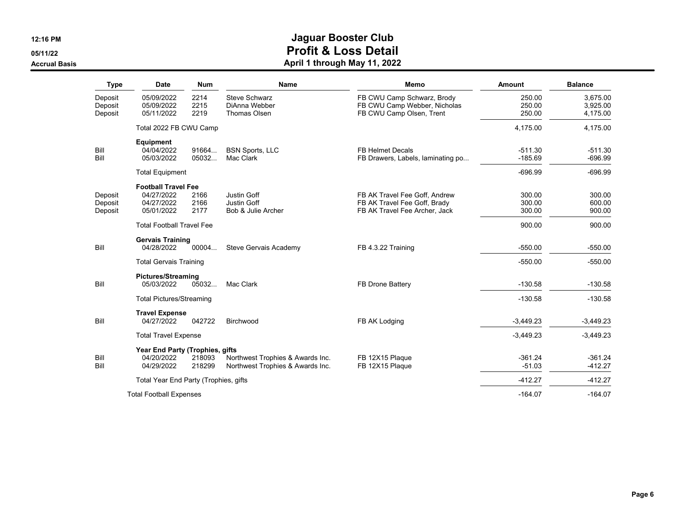**05/11/22**

#### **Accrual Basis**

| <b>Type</b>                   | <b>Date</b>                                                          | <b>Num</b>           | <b>Name</b>                                                          | Memo                                                                                           | Amount                     | <b>Balance</b>                   |
|-------------------------------|----------------------------------------------------------------------|----------------------|----------------------------------------------------------------------|------------------------------------------------------------------------------------------------|----------------------------|----------------------------------|
| Deposit<br>Deposit<br>Deposit | 05/09/2022<br>05/09/2022<br>05/11/2022                               | 2214<br>2215<br>2219 | <b>Steve Schwarz</b><br>DiAnna Webber<br>Thomas Olsen                | FB CWU Camp Schwarz, Brody<br>FB CWU Camp Webber, Nicholas<br>FB CWU Camp Olsen, Trent         | 250.00<br>250.00<br>250.00 | 3,675.00<br>3,925.00<br>4,175.00 |
|                               | Total 2022 FB CWU Camp                                               |                      |                                                                      |                                                                                                | 4,175.00                   | 4,175.00                         |
| Bill<br>Bill                  | <b>Equipment</b><br>04/04/2022<br>05/03/2022                         | 91664<br>05032       | <b>BSN Sports, LLC</b><br>Mac Clark                                  | <b>FB Helmet Decals</b><br>FB Drawers, Labels, laminating po                                   | $-511.30$<br>$-185.69$     | $-511.30$<br>$-696.99$           |
|                               | <b>Total Equipment</b>                                               |                      |                                                                      |                                                                                                | $-696.99$                  | $-696.99$                        |
| Deposit<br>Deposit<br>Deposit | <b>Football Travel Fee</b><br>04/27/2022<br>04/27/2022<br>05/01/2022 | 2166<br>2166<br>2177 | Justin Goff<br>Justin Goff<br>Bob & Julie Archer                     | FB AK Travel Fee Goff, Andrew<br>FB AK Travel Fee Goff, Brady<br>FB AK Travel Fee Archer, Jack | 300.00<br>300.00<br>300.00 | 300.00<br>600.00<br>900.00       |
|                               | <b>Total Football Travel Fee</b>                                     |                      |                                                                      |                                                                                                | 900.00                     | 900.00                           |
| Bill                          | <b>Gervais Training</b><br>04/28/2022                                | 00004                | Steve Gervais Academy                                                | FB 4.3.22 Training                                                                             | $-550.00$                  | $-550.00$                        |
|                               | <b>Total Gervais Training</b>                                        |                      |                                                                      |                                                                                                | $-550.00$                  | $-550.00$                        |
| Bill                          | <b>Pictures/Streaming</b><br>05/03/2022                              | 05032                | Mac Clark                                                            | FB Drone Battery                                                                               | $-130.58$                  | $-130.58$                        |
|                               | <b>Total Pictures/Streaming</b>                                      |                      |                                                                      |                                                                                                | $-130.58$                  | $-130.58$                        |
| Bill                          | <b>Travel Expense</b><br>04/27/2022                                  | 042722               | Birchwood                                                            | FB AK Lodging                                                                                  | $-3,449.23$                | $-3,449.23$                      |
|                               | <b>Total Travel Expense</b>                                          |                      |                                                                      |                                                                                                | $-3,449.23$                | $-3,449.23$                      |
| Bill<br>Bill                  | Year End Party (Trophies, gifts<br>04/20/2022<br>04/29/2022          | 218093<br>218299     | Northwest Trophies & Awards Inc.<br>Northwest Trophies & Awards Inc. | FB 12X15 Plaque<br>FB 12X15 Plaque                                                             | $-361.24$<br>$-51.03$      | $-361.24$<br>$-412.27$           |
|                               | Total Year End Party (Trophies, gifts                                |                      |                                                                      |                                                                                                | $-412.27$                  | $-412.27$                        |
|                               | <b>Total Football Expenses</b>                                       |                      |                                                                      |                                                                                                | $-164.07$                  | $-164.07$                        |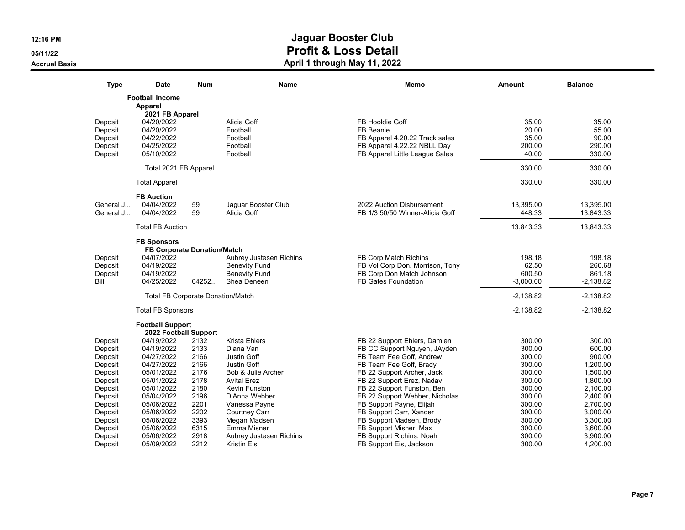**05/11/22**

**Accrual Basis**

| Type      | <b>Date</b>                                      | Num   | Name                    | Memo                            | <b>Amount</b> | <b>Balance</b> |
|-----------|--------------------------------------------------|-------|-------------------------|---------------------------------|---------------|----------------|
|           | <b>Football Income</b>                           |       |                         |                                 |               |                |
|           | Apparel                                          |       |                         |                                 |               |                |
|           | 2021 FB Apparel                                  |       |                         |                                 |               |                |
| Deposit   | 04/20/2022                                       |       | Alicia Goff             | FB Hooldie Goff                 | 35.00         | 35.00          |
| Deposit   | 04/20/2022                                       |       | Football                | FB Beanie                       | 20.00         | 55.00          |
| Deposit   | 04/22/2022                                       |       | Football                | FB Apparel 4.20.22 Track sales  | 35.00         | 90.00          |
| Deposit   | 04/25/2022                                       |       | Football                | FB Apparel 4.22.22 NBLL Day     | 200.00        | 290.00         |
| Deposit   | 05/10/2022                                       |       | Football                | FB Apparel Little League Sales  | 40.00         | 330.00         |
|           | Total 2021 FB Apparel                            |       |                         |                                 | 330.00        | 330.00         |
|           | <b>Total Apparel</b>                             |       |                         |                                 | 330.00        | 330.00         |
|           | <b>FB Auction</b>                                |       |                         |                                 |               |                |
| General J | 04/04/2022                                       | 59    | Jaguar Booster Club     | 2022 Auction Disbursement       | 13,395.00     | 13,395.00      |
| General J | 04/04/2022                                       | 59    | Alicia Goff             | FB 1/3 50/50 Winner-Alicia Goff | 448.33        | 13,843.33      |
|           | <b>Total FB Auction</b>                          |       |                         |                                 | 13,843.33     | 13,843.33      |
|           | <b>FB Sponsors</b>                               |       |                         |                                 |               |                |
|           | <b>FB Corporate Donation/Match</b>               |       |                         |                                 |               |                |
| Deposit   | 04/07/2022                                       |       | Aubrey Justesen Richins | FB Corp Match Richins           | 198.18        | 198.18         |
| Deposit   | 04/19/2022                                       |       | <b>Benevity Fund</b>    | FB Vol Corp Don. Morrison, Tony | 62.50         | 260.68         |
| Deposit   | 04/19/2022                                       |       | <b>Benevity Fund</b>    | FB Corp Don Match Johnson       | 600.50        | 861.18         |
| Bill      | 04/25/2022                                       | 04252 | Shea Deneen             | <b>FB Gates Foundation</b>      | $-3,000.00$   | $-2,138.82$    |
|           | <b>Total FB Corporate Donation/Match</b>         |       |                         |                                 | $-2,138.82$   | $-2,138.82$    |
|           | <b>Total FB Sponsors</b>                         |       |                         |                                 | $-2,138.82$   | $-2,138.82$    |
|           | <b>Football Support</b><br>2022 Football Support |       |                         |                                 |               |                |
| Deposit   | 04/19/2022                                       | 2132  | Krista Ehlers           | FB 22 Support Ehlers, Damien    | 300.00        | 300.00         |
| Deposit   | 04/19/2022                                       | 2133  | Diana Van               | FB CC Support Nguyen, JAyden    | 300.00        | 600.00         |
| Deposit   | 04/27/2022                                       | 2166  | Justin Goff             | FB Team Fee Goff, Andrew        | 300.00        | 900.00         |
| Deposit   | 04/27/2022                                       | 2166  | <b>Justin Goff</b>      | FB Team Fee Goff, Brady         | 300.00        | 1,200.00       |
| Deposit   | 05/01/2022                                       | 2176  | Bob & Julie Archer      | FB 22 Support Archer, Jack      | 300.00        | 1,500.00       |
| Deposit   | 05/01/2022                                       | 2178  | <b>Avital Erez</b>      | FB 22 Support Erez, Nadav       | 300.00        | 1,800.00       |
| Deposit   | 05/01/2022                                       | 2180  | Kevin Funston           | FB 22 Support Funston, Ben      | 300.00        | 2,100.00       |
| Deposit   | 05/04/2022                                       | 2196  | DiAnna Webber           | FB 22 Support Webber, Nicholas  | 300.00        | 2,400.00       |
| Deposit   | 05/06/2022                                       | 2201  | Vanessa Payne           | FB Support Payne, Elijah        | 300.00        | 2,700.00       |
| Deposit   | 05/06/2022                                       | 2202  | <b>Courtney Carr</b>    | FB Support Carr, Xander         | 300.00        | 3,000.00       |
| Deposit   | 05/06/2022                                       | 3393  | Megan Madsen            | FB Support Madsen, Brody        | 300.00        | 3,300.00       |
| Deposit   | 05/06/2022                                       | 6315  | Emma Misner             | FB Support Misner, Max          | 300.00        | 3,600.00       |
| Deposit   | 05/06/2022                                       | 2918  | Aubrey Justesen Richins | FB Support Richins, Noah        | 300.00        | 3,900.00       |
| Deposit   | 05/09/2022                                       | 2212  | Kristin Eis             | FB Support Eis, Jackson         | 300.00        | 4,200.00       |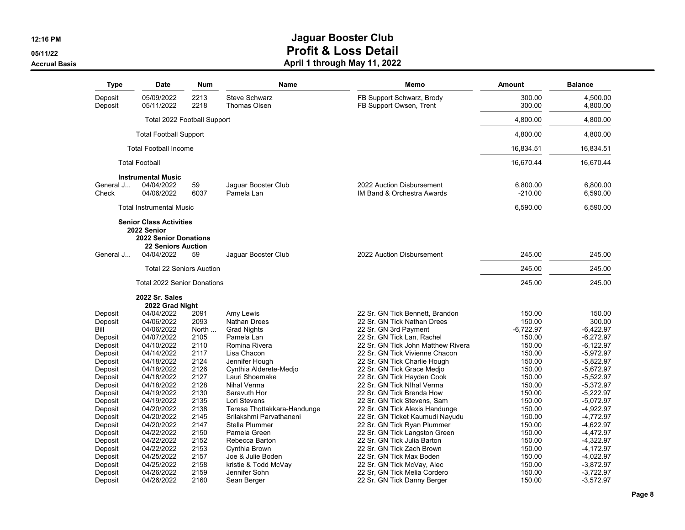**05/11/22**

#### **Accrual Basis**

| <b>Type</b>        | <b>Date</b>                                                                                                              | <b>Num</b>   | Name                                        | Memo                                                    | <b>Amount</b>         | <b>Balance</b>       |
|--------------------|--------------------------------------------------------------------------------------------------------------------------|--------------|---------------------------------------------|---------------------------------------------------------|-----------------------|----------------------|
| Deposit<br>Deposit | 05/09/2022<br>05/11/2022                                                                                                 | 2213<br>2218 | <b>Steve Schwarz</b><br><b>Thomas Olsen</b> | FB Support Schwarz, Brody<br>FB Support Owsen, Trent    | 300.00<br>300.00      | 4,500.00<br>4,800.00 |
|                    | Total 2022 Football Support                                                                                              |              |                                             |                                                         | 4,800.00              | 4,800.00             |
|                    | <b>Total Football Support</b>                                                                                            |              |                                             |                                                         | 4,800.00              | 4.800.00             |
|                    | <b>Total Football Income</b>                                                                                             |              |                                             |                                                         | 16,834.51             | 16,834.51            |
|                    | <b>Total Football</b>                                                                                                    |              |                                             |                                                         | 16.670.44             | 16.670.44            |
|                    | <b>Instrumental Music</b>                                                                                                |              |                                             |                                                         |                       |                      |
| General J<br>Check | 04/04/2022<br>04/06/2022                                                                                                 | 59<br>6037   | Jaguar Booster Club<br>Pamela Lan           | 2022 Auction Disbursement<br>IM Band & Orchestra Awards | 6,800.00<br>$-210.00$ | 6,800.00<br>6,590.00 |
|                    | <b>Total Instrumental Music</b>                                                                                          |              |                                             |                                                         | 6,590.00              | 6,590.00             |
| General J          | <b>Senior Class Activities</b><br>2022 Senior<br><b>2022 Senior Donations</b><br><b>22 Seniors Auction</b><br>04/04/2022 | 59           | Jaguar Booster Club                         | 2022 Auction Disbursement                               | 245.00                | 245.00               |
|                    |                                                                                                                          |              |                                             |                                                         |                       |                      |
|                    | <b>Total 22 Seniors Auction</b>                                                                                          |              |                                             |                                                         | 245.00                | 245.00               |
|                    | Total 2022 Senior Donations                                                                                              |              |                                             |                                                         | 245.00                | 245.00               |
|                    | <b>2022 Sr. Sales</b><br>2022 Grad Night                                                                                 |              |                                             |                                                         |                       |                      |
| Deposit            | 04/04/2022                                                                                                               | 2091         | Amy Lewis                                   | 22 Sr. GN Tick Bennett. Brandon                         | 150.00                | 150.00               |
| Deposit            | 04/06/2022                                                                                                               | 2093         | Nathan Drees                                | 22 Sr. GN Tick Nathan Drees                             | 150.00                | 300.00               |
| Bill               | 04/06/2022                                                                                                               | North        | <b>Grad Nights</b>                          | 22 Sr. GN 3rd Payment                                   | $-6,722.97$           | $-6,422.97$          |
| Deposit            | 04/07/2022                                                                                                               | 2105         | Pamela Lan                                  | 22 Sr. GN Tick Lan, Rachel                              | 150.00                | $-6,272.97$          |
| Deposit            | 04/10/2022                                                                                                               | 2110         | Romina Rivera                               | 22 Sr. GN Tick John Matthew Rivera                      | 150.00                | $-6,122.97$          |
| Deposit            | 04/14/2022                                                                                                               | 2117         | Lisa Chacon                                 | 22 Sr. GN Tick Vivienne Chacon                          | 150.00                | $-5,972.97$          |
| Deposit            | 04/18/2022                                                                                                               | 2124         | Jennifer Hough                              | 22 Sr. GN Tick Charlie Hough                            | 150.00                | $-5,822.97$          |
| Deposit            | 04/18/2022                                                                                                               | 2126         | Cynthia Alderete-Medjo                      | 22 Sr. GN Tick Grace Medjo                              | 150.00                | $-5,672.97$          |
| Deposit            | 04/18/2022                                                                                                               | 2127         | Lauri Shoemake                              | 22 Sr. GN Tick Hayden Cook                              | 150.00                | $-5,522.97$          |
| Deposit            | 04/18/2022                                                                                                               | 2128         | Nihal Verma                                 | 22 Sr. GN Tick Nlhal Verma                              | 150.00                | $-5,372.97$          |
| Deposit            | 04/19/2022                                                                                                               | 2130         | Saravuth Hor                                | 22 Sr. GN Tick Brenda How                               | 150.00                | $-5,222.97$          |
| Deposit            | 04/19/2022                                                                                                               | 2135         | Lori Stevens                                | 22 Sr. GN Tick Stevens, Sam                             | 150.00                | $-5,072.97$          |
| Deposit            | 04/20/2022                                                                                                               | 2138         | Teresa Thottakkara-Handunge                 | 22 Sr. GN Tick Alexis Handunge                          | 150.00                | $-4,922.97$          |
| Deposit            | 04/20/2022                                                                                                               | 2145         | Srilakshmi Parvathaneni                     | 22 Sr. GN Ticket Kaumudi Nayudu                         | 150.00                | $-4,772.97$          |
| Deposit            | 04/20/2022                                                                                                               | 2147         | Stella Plummer                              | 22 Sr. GN Tick Ryan Plummer                             | 150.00                | -4,622.97            |
| Deposit            | 04/22/2022                                                                                                               | 2150         | Pamela Green                                | 22 Sr. GN Tick Langston Green                           | 150.00                | -4,472.97            |
| Deposit            | 04/22/2022                                                                                                               | 2152         | Rebecca Barton                              | 22 Sr. GN Tick Julia Barton                             | 150.00                | $-4,322.97$          |
| Deposit            | 04/22/2022                                                                                                               | 2153         | Cynthia Brown                               | 22 Sr. GN Tick Zach Brown                               | 150.00                | $-4,172.97$          |
| Deposit            | 04/25/2022                                                                                                               | 2157         | Joe & Julie Boden                           | 22 Sr. GN Tick Max Boden                                | 150.00                | $-4,022.97$          |
| Deposit            | 04/25/2022                                                                                                               | 2158         | kristie & Todd McVay                        | 22 Sr. GN Tick McVay, Alec                              | 150.00                | $-3,872.97$          |
| Deposit            | 04/26/2022                                                                                                               | 2159         | Jennifer Sohn                               | 22 Sr, GN Tick Melia Cordero                            | 150.00                | $-3,722.97$          |
| Deposit            | 04/26/2022                                                                                                               | 2160         | Sean Berger                                 | 22 Sr. GN Tick Danny Berger                             | 150.00                | $-3,572.97$          |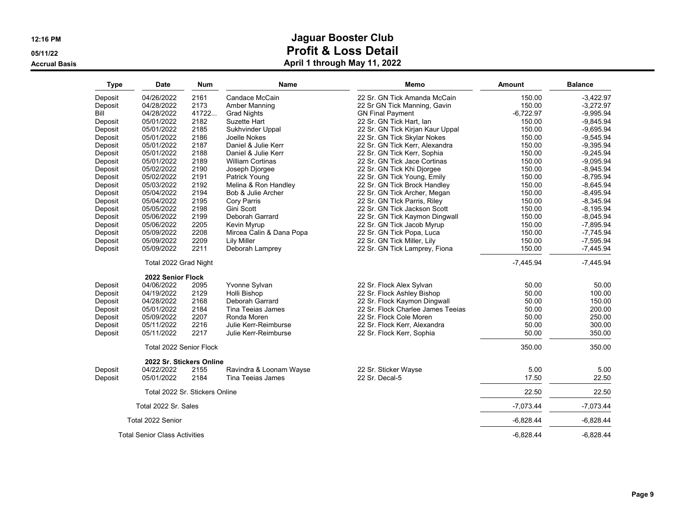**05/11/22**

**Accrual Basis**

| <b>Type</b> | <b>Date</b>                          | Num   | <b>Name</b>              | Memo                              | Amount      | <b>Balance</b> |
|-------------|--------------------------------------|-------|--------------------------|-----------------------------------|-------------|----------------|
| Deposit     | 04/26/2022                           | 2161  | Candace McCain           | 22 Sr. GN Tick Amanda McCain      | 150.00      | $-3,422.97$    |
| Deposit     | 04/28/2022                           | 2173  | Amber Manning            | 22 Sr GN Tick Manning, Gavin      | 150.00      | $-3,272.97$    |
| Bill        | 04/28/2022                           | 41722 | <b>Grad Nights</b>       | <b>GN Final Payment</b>           | $-6,722.97$ | $-9,995.94$    |
| Deposit     | 05/01/2022                           | 2182  | Suzette Hart             | 22 Sr. GN Tick Hart, Ian          | 150.00      | $-9.845.94$    |
| Deposit     | 05/01/2022                           | 2185  | Sukhvinder Uppal         | 22 Sr. GN Tick Kirjan Kaur Uppal  | 150.00      | $-9,695.94$    |
| Deposit     | 05/01/2022                           | 2186  | Joelle Nokes             | 22 Sr. GN Tick Skylar Nokes       | 150.00      | $-9,545.94$    |
| Deposit     | 05/01/2022                           | 2187  | Daniel & Julie Kerr      | 22 Sr. GN Tick Kerr, Alexandra    | 150.00      | $-9,395.94$    |
| Deposit     | 05/01/2022                           | 2188  | Daniel & Julie Kerr      | 22 Sr. GN Tick Kerr, Sophia       | 150.00      | $-9.245.94$    |
| Deposit     | 05/01/2022                           | 2189  | <b>William Cortinas</b>  | 22 Sr. GN Tick Jace Cortinas      | 150.00      | $-9,095.94$    |
| Deposit     | 05/02/2022                           | 2190  | Joseph Djorgee           | 22 Sr. GN Tick Khi Djorgee        | 150.00      | $-8,945.94$    |
| Deposit     | 05/02/2022                           | 2191  | Patrick Young            | 22 Sr. GN Tick Young, Emily       | 150.00      | $-8,795.94$    |
| Deposit     | 05/03/2022                           | 2192  | Melina & Ron Handley     | 22 Sr. GN Tick Brock Handley      | 150.00      | $-8,645.94$    |
| Deposit     | 05/04/2022                           | 2194  | Bob & Julie Archer       | 22 Sr. GN Tick Archer, Megan      | 150.00      | $-8,495.94$    |
| Deposit     | 05/04/2022                           | 2195  | Cory Parris              | 22 Sr. GN Tlck Parris, Riley      | 150.00      | $-8.345.94$    |
| Deposit     | 05/05/2022                           | 2198  | Gini Scott               | 22 Sr. GN Tick Jackson Scott      | 150.00      | $-8,195.94$    |
| Deposit     | 05/06/2022                           | 2199  | Deborah Garrard          | 22 Sr. GN Tick Kaymon Dingwall    | 150.00      | $-8,045.94$    |
| Deposit     | 05/06/2022                           | 2205  | Kevin Myrup              | 22 Sr. GN Tick Jacob Myrup        | 150.00      | $-7,895.94$    |
| Deposit     | 05/09/2022                           | 2208  | Mircea Calin & Dana Popa | 22 Sr. GN Tick Popa, Luca         | 150.00      | $-7,745.94$    |
| Deposit     | 05/09/2022                           | 2209  | <b>Lily Miller</b>       | 22 Sr. GN Tick Miller, Lily       | 150.00      | $-7,595.94$    |
| Deposit     | 05/09/2022                           | 2211  | Deborah Lamprey          | 22 Sr. GN Tick Lamprey, Fiona     | 150.00      | $-7,445.94$    |
|             | Total 2022 Grad Night                |       |                          |                                   | $-7.445.94$ | $-7,445.94$    |
|             | 2022 Senior Flock                    |       |                          |                                   |             |                |
| Deposit     | 04/06/2022                           | 2095  | Yvonne Sylvan            | 22 Sr. Flock Alex Sylvan          | 50.00       | 50.00          |
| Deposit     | 04/19/2022                           | 2129  | Holli Bishop             | 22 Sr. Flock Ashley Bishop        | 50.00       | 100.00         |
| Deposit     | 04/28/2022                           | 2168  | Deborah Garrard          | 22 Sr. Flock Kaymon Dingwall      | 50.00       | 150.00         |
| Deposit     | 05/01/2022                           | 2184  | Tina Teeias James        | 22 Sr. Flock Charlee James Teejas | 50.00       | 200.00         |
| Deposit     | 05/09/2022                           | 2207  | Ronda Moren              | 22 Sr. Flock Cole Moren           | 50.00       | 250.00         |
| Deposit     | 05/11/2022                           | 2216  | Julie Kerr-Reimburse     | 22 Sr. Flock Kerr, Alexandra      | 50.00       | 300.00         |
| Deposit     | 05/11/2022                           | 2217  | Julie Kerr-Reimburse     | 22 Sr. Flock Kerr, Sophia         | 50.00       | 350.00         |
|             | Total 2022 Senior Flock              |       |                          |                                   | 350.00      | 350.00         |
|             | 2022 Sr. Stickers Online             |       |                          |                                   |             |                |
| Deposit     | 04/22/2022                           | 2155  | Ravindra & Loonam Wayse  | 22 Sr. Sticker Wayse              | 5.00        | 5.00           |
| Deposit     | 05/01/2022                           | 2184  | Tina Teeias James        | 22 Sr. Decal-5                    | 17.50       | 22.50          |
|             | Total 2022 Sr. Stickers Online       |       |                          |                                   | 22.50       | 22.50          |
|             | Total 2022 Sr. Sales                 |       |                          |                                   | $-7,073.44$ | $-7,073.44$    |
|             | Total 2022 Senior                    |       |                          |                                   | $-6,828.44$ | $-6,828.44$    |
|             | <b>Total Senior Class Activities</b> |       |                          |                                   | $-6,828.44$ | $-6,828.44$    |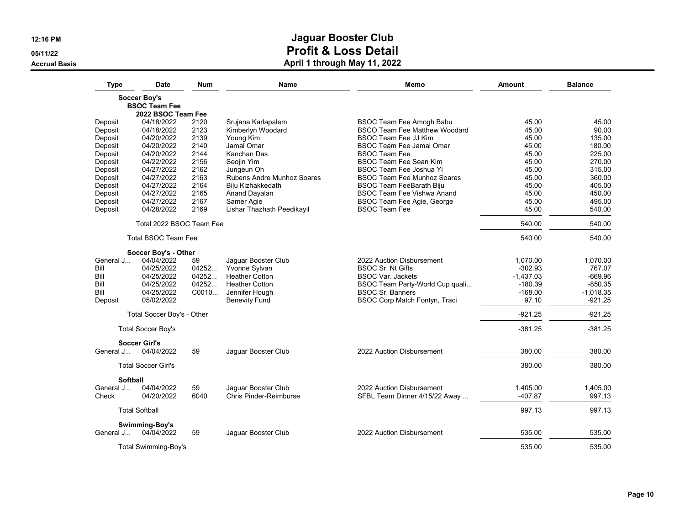**05/11/22**

**Accrual Basis**

| <b>Type</b> | <b>Date</b>                        | Num   | Name                          | Memo                                 | Amount      | <b>Balance</b> |
|-------------|------------------------------------|-------|-------------------------------|--------------------------------------|-------------|----------------|
|             | <b>Soccer Boy's</b>                |       |                               |                                      |             |                |
|             | <b>BSOC Team Fee</b>               |       |                               |                                      |             |                |
|             | 2022 BSOC Team Fee                 |       |                               |                                      |             |                |
| Deposit     | 04/18/2022                         | 2120  | Srujana Karlapalem            | <b>BSOC Team Fee Amogh Babu</b>      | 45.00       | 45.00          |
| Deposit     | 04/18/2022                         | 2123  | Kimberlyn Woodard             | <b>BSCO Team Fee Matthew Woodard</b> | 45.00       | 90.00          |
| Deposit     | 04/20/2022                         | 2139  | Young Kim                     | <b>BSOC Team Fee JJ Kim</b>          | 45.00       | 135.00         |
| Deposit     | 04/20/2022                         | 2140  | Jamal Omar                    | <b>BSOC Team Fee Jamal Omar</b>      | 45.00       | 180.00         |
| Deposit     | 04/20/2022                         | 2144  | Kanchan Das                   | <b>BSOC Team Fee</b>                 | 45.00       | 225.00         |
| Deposit     | 04/22/2022                         | 2156  | Seojin Yim                    | <b>BSOC Team Fee Sean Kim</b>        | 45.00       | 270.00         |
| Deposit     | 04/27/2022                         | 2162  | Jungeun Oh                    | <b>BSOC Team Fee Joshua Yi</b>       | 45.00       | 315.00         |
| Deposit     | 04/27/2022                         | 2163  | Rubens Andre Munhoz Soares    | <b>BSOC Team Fee Munhoz Soares</b>   | 45.00       | 360.00         |
| Deposit     | 04/27/2022                         | 2164  | Biju Kizhakkedath             | <b>BSOC Team FeeBarath Biju</b>      | 45.00       | 405.00         |
| Deposit     | 04/27/2022                         | 2165  | Anand Dayalan                 | <b>BSOC Team Fee Vishwa Anand</b>    | 45.00       | 450.00         |
| Deposit     | 04/27/2022                         | 2167  | Samer Agie                    | BSOC Team Fee Agie, George           | 45.00       | 495.00         |
| Deposit     | 04/28/2022                         | 2169  | Lishar Thazhath Peedikayil    | <b>BSOC Team Fee</b>                 | 45.00       | 540.00         |
|             | Total 2022 BSOC Team Fee           |       | 540.00                        | 540.00                               |             |                |
|             | <b>Total BSOC Team Fee</b>         |       |                               |                                      | 540.00      | 540.00         |
|             | Soccer Boy's - Other               |       |                               |                                      |             |                |
| General J   | 04/04/2022                         | 59    | Jaquar Booster Club           | 2022 Auction Disbursement            | 1.070.00    | 1.070.00       |
| Bill        | 04/25/2022                         | 04252 | Yvonne Sylvan                 | <b>BSOC Sr. Nt Gifts</b>             | $-302.93$   | 767.07         |
| Bill        | 04/25/2022                         | 04252 | <b>Heather Cotton</b>         | <b>BSOC Var. Jackets</b>             | $-1,437.03$ | $-669.96$      |
| Bill        | 04/25/2022                         | 04252 | <b>Heather Cotton</b>         | BSOC Team Party-World Cup quali      | $-180.39$   | $-850.35$      |
| Bill        | 04/25/2022                         | C0010 | Jennifer Hough                | <b>BSOC Sr. Banners</b>              | $-168.00$   | $-1,018.35$    |
| Deposit     | 05/02/2022                         |       | <b>Benevity Fund</b>          | BSOC Corp Match Fontyn, Traci        | 97.10       | $-921.25$      |
|             | Total Soccer Boy's - Other         |       |                               |                                      | $-921.25$   | $-921.25$      |
|             | <b>Total Soccer Boy's</b>          |       |                               |                                      | $-381.25$   | $-381.25$      |
| General J   | <b>Soccer Girl's</b><br>04/04/2022 | 59    | Jaguar Booster Club           | 2022 Auction Disbursement            | 380.00      | 380.00         |
|             |                                    |       |                               |                                      |             |                |
|             | <b>Total Soccer Girl's</b>         |       |                               |                                      | 380.00      | 380.00         |
| Softball    |                                    |       |                               |                                      |             |                |
| General J   | 04/04/2022                         | 59    | Jaguar Booster Club           | 2022 Auction Disbursement            | 1,405.00    | 1,405.00       |
| Check       | 04/20/2022                         | 6040  | <b>Chris Pinder-Reimburse</b> | SFBL Team Dinner 4/15/22 Away        | -407.87     | 997.13         |
|             | <b>Total Softball</b>              |       |                               |                                      | 997.13      | 997.13         |
| General J   | Swimming-Boy's<br>04/04/2022       | 59    | Jaguar Booster Club           | 2022 Auction Disbursement            | 535.00      | 535.00         |
|             |                                    |       |                               |                                      |             |                |
|             | <b>Total Swimming-Boy's</b>        |       |                               |                                      | 535.00      | 535.00         |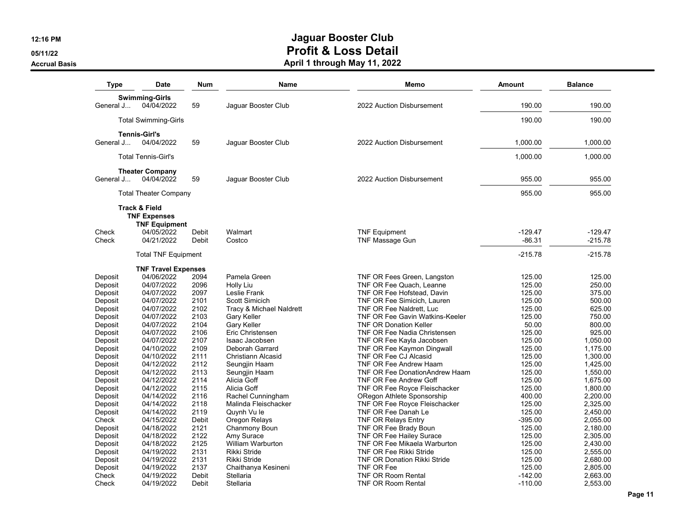**05/11/22**

**Accrual Basis**

| Type           | <b>Date</b>                  | Num            | <b>Name</b>               | Memo                                   | <b>Amount</b>         | <b>Balance</b>         |
|----------------|------------------------------|----------------|---------------------------|----------------------------------------|-----------------------|------------------------|
|                | <b>Swimming-Girls</b>        |                |                           |                                        |                       |                        |
| General J      | 04/04/2022                   | 59             | Jaquar Booster Club       | 2022 Auction Disbursement              | 190.00                | 190.00                 |
|                |                              |                |                           |                                        |                       |                        |
|                | <b>Total Swimming-Girls</b>  |                |                           |                                        | 190.00                | 190.00                 |
|                | <b>Tennis-Girl's</b>         |                |                           |                                        |                       |                        |
| General J      | 04/04/2022                   | 59             | Jaquar Booster Club       | 2022 Auction Disbursement              | 1,000.00              | 1.000.00               |
|                |                              |                |                           |                                        |                       |                        |
|                | <b>Total Tennis-Girl's</b>   |                |                           |                                        | 1,000.00              | 1,000.00               |
|                | <b>Theater Company</b>       |                |                           |                                        |                       |                        |
| General J      | 04/04/2022                   | 59             | Jaguar Booster Club       | 2022 Auction Disbursement              | 955.00                | 955.00                 |
|                |                              |                |                           |                                        |                       |                        |
|                | <b>Total Theater Company</b> |                |                           |                                        | 955.00                | 955.00                 |
|                | <b>Track &amp; Field</b>     |                |                           |                                        |                       |                        |
|                | <b>TNF Expenses</b>          |                |                           |                                        |                       |                        |
|                | <b>TNF Equipment</b>         |                |                           |                                        |                       |                        |
| Check<br>Check | 04/05/2022<br>04/21/2022     | Debit<br>Debit | Walmart<br>Costco         | <b>TNF Equipment</b>                   | $-129.47$<br>$-86.31$ | $-129.47$<br>$-215.78$ |
|                |                              |                |                           | TNF Massage Gun                        |                       |                        |
|                | <b>Total TNF Equipment</b>   |                |                           |                                        | -215.78               | $-215.78$              |
|                | <b>TNF Travel Expenses</b>   |                |                           |                                        |                       |                        |
| Deposit        | 04/06/2022                   | 2094           | Pamela Green              | TNF OR Fees Green, Langston            | 125.00                | 125.00                 |
| Deposit        | 04/07/2022                   | 2096           | Holly Liu                 | TNF OR Fee Quach, Leanne               | 125.00                | 250.00                 |
| Deposit        | 04/07/2022                   | 2097           | Leslie Frank              | TNF OR Fee Hofstead, Davin             | 125.00                | 375.00                 |
| Deposit        | 04/07/2022                   | 2101           | Scott Simicich            | TNF OR Fee Simicich, Lauren            | 125.00                | 500.00                 |
| Deposit        | 04/07/2022                   | 2102           | Tracy & Michael Naldrett  | TNF OR Fee Naldrett, Luc               | 125.00                | 625.00                 |
| Deposit        | 04/07/2022                   | 2103           | Gary Keller               | <b>TNF OR Fee Gavin Watkins-Keeler</b> | 125.00                | 750.00                 |
| Deposit        | 04/07/2022                   | 2104           | Gary Keller               | <b>TNF OR Donation Keller</b>          | 50.00                 | 800.00                 |
| Deposit        | 04/07/2022                   | 2106           | Eric Christensen          | TNF OR Fee Nadia Christensen           | 125.00                | 925.00                 |
| Deposit        | 04/07/2022                   | 2107           | Isaac Jacobsen            | TNF OR Fee Kayla Jacobsen              | 125.00                | 1,050.00               |
| Deposit        | 04/10/2022                   | 2109           | Deborah Garrard           | TNF OR Fee Kaymon Dingwall             | 125.00                | 1.175.00               |
| Deposit        | 04/10/2022                   | 2111           | <b>Christiann Alcasid</b> | TNF OR Fee CJ Alcasid                  | 125.00                | 1,300.00               |
| Deposit        | 04/12/2022                   | 2112           | Seungjin Haam             | TNF OR Fee Andrew Haam                 | 125.00                | 1,425.00               |
| Deposit        | 04/12/2022                   | 2113           | Seungjin Haam             | TNF OR Fee DonationAndrew Haam         | 125.00                | 1,550.00               |
| Deposit        | 04/12/2022                   | 2114           | Alicia Goff               | TNF OR Fee Andrew Goff                 | 125.00                | 1,675.00               |
| Deposit        | 04/12/2022                   | 2115           | Alicia Goff               | TNF OR Fee Royce Fleischacker          | 125.00                | 1.800.00               |
| Deposit        | 04/14/2022                   | 2116           | Rachel Cunningham         | ORegon Athlete Sponsorship             | 400.00                | 2,200.00               |
| Deposit        | 04/14/2022                   | 2118           | Malinda Fleischacker      | TNF OR Fee Royce Fleischacker          | 125.00                | 2,325.00               |
| Deposit        | 04/14/2022                   | 2119           | Quynh Vu le               | TNF OR Fee Danah Le                    | 125.00                | 2,450.00               |
| Check          | 04/15/2022                   | Debit          | Oregon Relays             | <b>TNF OR Relays Entry</b>             | $-395.00$             | 2,055.00               |
| Deposit        | 04/18/2022                   | 2121           | Chanmony Boun             | TNF OR Fee Brady Boun                  | 125.00                | 2,180.00               |
| Deposit        | 04/18/2022                   | 2122           | Amy Surace                | TNF OR Fee Hailey Surace               | 125.00                | 2,305.00               |
| Deposit        | 04/18/2022                   | 2125           | William Warburton         | TNF OR Fee Mikaela Warburton           | 125.00                | 2,430.00               |
| Deposit        | 04/19/2022                   | 2131           | Rikki Stride              | <b>TNF OR Fee Rikki Stride</b>         | 125.00                | 2,555.00               |
| Deposit        | 04/19/2022                   | 2131           | Rikki Stride              | TNF OR Donation Rikki Stride           | 125.00                | 2,680.00               |
| Deposit        | 04/19/2022                   | 2137           | Chaithanya Kesineni       | TNF OR Fee                             | 125.00                | 2,805.00               |
| Check          | 04/19/2022                   | Debit          | Stellaria                 | <b>TNF OR Room Rental</b>              | $-142.00$             | 2,663.00               |
| Check          | 04/19/2022                   | Debit          | Stellaria                 | <b>TNF OR Room Rental</b>              | $-110.00$             | 2,553.00               |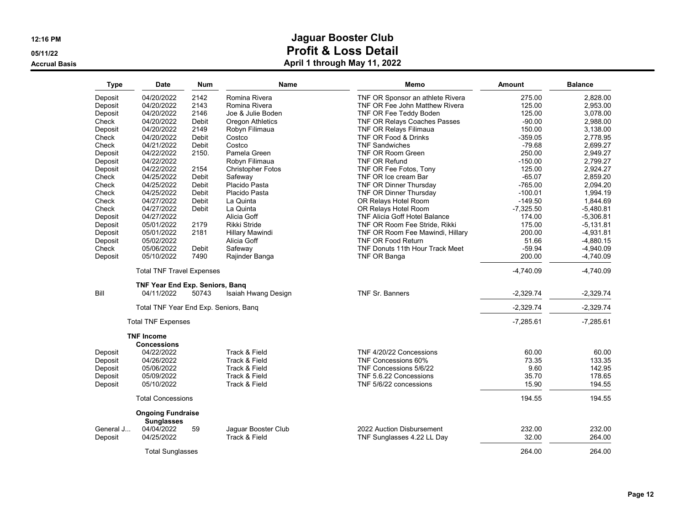**05/11/22**

**Accrual Basis**

| <b>Type</b> | <b>Date</b>                                          | <b>Num</b> | Name                     | Memo                                 | <b>Amount</b> | <b>Balance</b> |
|-------------|------------------------------------------------------|------------|--------------------------|--------------------------------------|---------------|----------------|
| Deposit     | 04/20/2022                                           | 2142       | Romina Rivera            | TNF OR Sponsor an athlete Rivera     | 275.00        | 2.828.00       |
| Deposit     | 04/20/2022                                           | 2143       | Romina Rivera            | TNF OR Fee John Matthew Rivera       | 125.00        | 2.953.00       |
| Deposit     | 04/20/2022                                           | 2146       | Joe & Julie Boden        | TNF OR Fee Teddy Boden               | 125.00        | 3,078.00       |
| Check       | 04/20/2022                                           | Debit      | <b>Oregon Athletics</b>  | <b>TNF OR Relays Coaches Passes</b>  | $-90.00$      | 2.988.00       |
| Deposit     | 04/20/2022                                           | 2149       | Robyn Filimaua           | <b>TNF OR Relays Filimaua</b>        | 150.00        | 3,138.00       |
| Check       | 04/20/2022                                           | Debit      | Costco                   | TNF OR Food & Drinks                 | $-359.05$     | 2,778.95       |
| Check       | 04/21/2022                                           | Debit      | Costco                   | <b>TNF Sandwiches</b>                | $-79.68$      | 2.699.27       |
| Deposit     | 04/22/2022                                           | 2150.      | Pamela Green             | <b>TNF OR Room Green</b>             | 250.00        | 2,949.27       |
| Deposit     | 04/22/2022                                           |            | Robyn Filimaua           | <b>TNF OR Refund</b>                 | $-150.00$     | 2,799.27       |
| Deposit     | 04/22/2022                                           | 2154       | <b>Christopher Fotos</b> | TNF OR Fee Fotos, Tony               | 125.00        | 2,924.27       |
| Check       | 04/25/2022                                           | Debit      | Safeway                  | TNF OR Ice cream Bar                 | $-65.07$      | 2,859.20       |
| Check       | 04/25/2022                                           | Debit      | Placido Pasta            | TNF OR Dinner Thursday               | $-765.00$     | 2,094.20       |
| Check       | 04/25/2022                                           | Debit      | Placido Pasta            | TNF OR Dinner Thursday               | $-100.01$     | 1,994.19       |
| Check       | 04/27/2022                                           | Debit      | La Quinta                | OR Relays Hotel Room                 | $-149.50$     | 1,844.69       |
| Check       | 04/27/2022                                           | Debit      | La Quinta                | OR Relays Hotel Room                 | $-7,325.50$   | $-5,480.81$    |
| Deposit     | 04/27/2022                                           |            | Alicia Goff              | <b>TNF Alicia Goff Hotel Balance</b> | 174.00        | $-5,306.81$    |
|             | 05/01/2022                                           | 2179       | Rikki Stride             |                                      | 175.00        |                |
| Deposit     |                                                      |            |                          | TNF OR Room Fee Stride, Rikki        |               | $-5,131.81$    |
| Deposit     | 05/01/2022                                           | 2181       | Hillary Mawindi          | TNF OR Room Fee Mawindi, Hillary     | 200.00        | $-4,931.81$    |
| Deposit     | 05/02/2022                                           |            | Alicia Goff              | <b>TNF OR Food Return</b>            | 51.66         | $-4,880.15$    |
| Check       | 05/06/2022                                           | Debit      | Safeway                  | TNF Donuts 11th Hour Track Meet      | $-59.94$      | $-4,940.09$    |
| Deposit     | 05/10/2022                                           | 7490       | Rajinder Banga           | TNF OR Banga                         | 200.00        | $-4,740.09$    |
|             | <b>Total TNF Travel Expenses</b>                     |            |                          |                                      | $-4,740.09$   | $-4,740.09$    |
| Bill        | <b>TNF Year End Exp. Seniors, Bang</b><br>04/11/2022 | 50743      | Isaiah Hwang Design      | <b>TNF Sr. Banners</b>               | $-2,329.74$   | $-2,329.74$    |
|             |                                                      |            |                          |                                      |               |                |
|             | Total TNF Year End Exp. Seniors, Bang                |            |                          |                                      | $-2,329.74$   | $-2,329.74$    |
|             | <b>Total TNF Expenses</b>                            |            |                          |                                      | $-7,285.61$   | $-7,285.61$    |
|             | <b>TNF Income</b>                                    |            |                          |                                      |               |                |
|             | <b>Concessions</b>                                   |            |                          |                                      |               |                |
| Deposit     | 04/22/2022                                           |            | Track & Field            | TNF 4/20/22 Concessions              | 60.00         | 60.00          |
| Deposit     | 04/26/2022                                           |            | Track & Field            | TNF Concessions 60%                  | 73.35         | 133.35         |
| Deposit     | 05/06/2022                                           |            | Track & Field            | TNF Concessions 5/6/22               | 9.60          | 142.95         |
| Deposit     | 05/09/2022                                           |            | Track & Field            | TNF 5.6.22 Concessions               | 35.70         | 178.65         |
| Deposit     | 05/10/2022                                           |            | Track & Field            | TNF 5/6/22 concessions               | 15.90         | 194.55         |
|             | <b>Total Concessions</b>                             |            |                          |                                      | 194.55        | 194.55         |
|             | <b>Ongoing Fundraise</b>                             |            |                          |                                      |               |                |
| General J   | <b>Sunglasses</b><br>04/04/2022                      | 59         | Jaquar Booster Club      | 2022 Auction Disbursement            | 232.00        | 232.00         |
| Deposit     | 04/25/2022                                           |            | Track & Field            | TNF Sunglasses 4.22 LL Day           | 32.00         | 264.00         |
|             | <b>Total Sunglasses</b>                              |            |                          |                                      | 264.00        | 264.00         |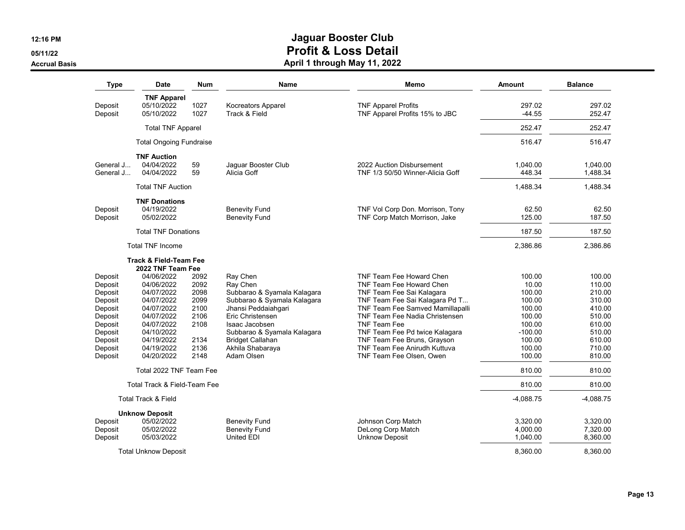**05/11/22**

**Accrual Basis**

| <b>Type</b>            | Date                                             | Num          | Name                                         | Memo                                                              | Amount             | <b>Balance</b>       |
|------------------------|--------------------------------------------------|--------------|----------------------------------------------|-------------------------------------------------------------------|--------------------|----------------------|
| Deposit<br>Deposit     | <b>TNF Apparel</b><br>05/10/2022<br>05/10/2022   | 1027<br>1027 | Kocreators Apparel<br>Track & Field          | <b>TNF Apparel Profits</b><br>TNF Apparel Profits 15% to JBC      | 297.02<br>$-44.55$ | 297.02<br>252.47     |
|                        | <b>Total TNF Apparel</b>                         |              |                                              |                                                                   | 252.47             | 252.47               |
|                        | <b>Total Ongoing Fundraise</b>                   |              |                                              |                                                                   | 516.47             | 516.47               |
| General J<br>General J | <b>TNF Auction</b><br>04/04/2022<br>04/04/2022   | 59<br>59     | Jaguar Booster Club<br>Alicia Goff           | 2022 Auction Disbursement<br>TNF 1/3 50/50 Winner-Alicia Goff     | 1,040.00<br>448.34 | 1,040.00<br>1,488.34 |
|                        | <b>Total TNF Auction</b>                         |              |                                              |                                                                   | 1,488.34           | 1,488.34             |
| Deposit<br>Deposit     | <b>TNF Donations</b><br>04/19/2022<br>05/02/2022 |              | <b>Benevity Fund</b><br><b>Benevity Fund</b> | TNF Vol Corp Don. Morrison, Tony<br>TNF Corp Match Morrison, Jake | 62.50<br>125.00    | 62.50<br>187.50      |
|                        | <b>Total TNF Donations</b>                       |              |                                              |                                                                   | 187.50             | 187.50               |
|                        | <b>Total TNF Income</b>                          |              |                                              |                                                                   | 2,386.86           | 2,386.86             |
|                        | <b>Track &amp; Field-Team Fee</b>                |              |                                              |                                                                   |                    |                      |
|                        | 2022 TNF Team Fee                                |              |                                              |                                                                   |                    |                      |
| Deposit                | 04/06/2022                                       | 2092         | Ray Chen                                     | <b>TNF Team Fee Howard Chen</b>                                   | 100.00             | 100.00               |
| Deposit                | 04/06/2022                                       | 2092         | Ray Chen                                     | TNF Team Fee Howard Chen                                          | 10.00              | 110.00               |
| Deposit                | 04/07/2022                                       | 2098         | Subbarao & Syamala Kalagara                  | TNF Team Fee Sai Kalagara                                         | 100.00             | 210.00               |
| Deposit                | 04/07/2022                                       | 2099         | Subbarao & Syamala Kalagara                  | TNF Team Fee Sai Kalagara Pd T                                    | 100.00             | 310.00               |
| Deposit                | 04/07/2022                                       | 2100         | Jhansi Peddaiahqari                          | TNF Team Fee Samved Mamillapalli                                  | 100.00             | 410.00               |
| Deposit                | 04/07/2022                                       | 2106         | Eric Christensen                             | <b>TNF Team Fee Nadia Christensen</b>                             | 100.00             | 510.00               |
| Deposit                | 04/07/2022                                       | 2108         | Isaac Jacobsen                               | <b>TNF Team Fee</b>                                               | 100.00             | 610.00               |
| Deposit                | 04/10/2022                                       |              | Subbarao & Syamala Kalagara                  | TNF Team Fee Pd twice Kalagara                                    | $-100.00$          | 510.00               |
| Deposit                | 04/19/2022                                       | 2134         | <b>Bridget Callahan</b>                      | TNF Team Fee Bruns, Grayson                                       | 100.00             | 610.00               |
| Deposit                | 04/19/2022                                       | 2136         | Akhila Shabaraya                             | TNF Team Fee Anirudh Kuttuva                                      | 100.00             | 710.00               |
| Deposit                | 04/20/2022                                       | 2148         | Adam Olsen                                   | TNF Team Fee Olsen, Owen                                          | 100.00             | 810.00               |
|                        | Total 2022 TNF Team Fee                          |              |                                              |                                                                   | 810.00             | 810.00               |
|                        | Total Track & Field-Team Fee                     |              |                                              |                                                                   | 810.00             | 810.00               |
|                        | <b>Total Track &amp; Field</b>                   |              |                                              |                                                                   | $-4,088.75$        | $-4,088.75$          |
|                        | <b>Unknow Deposit</b>                            |              |                                              |                                                                   |                    | 3,320.00             |
| Deposit                | 05/02/2022                                       |              | <b>Benevity Fund</b>                         | Johnson Corp Match                                                | 3,320.00           |                      |
| Deposit                | 05/02/2022                                       |              | <b>Benevity Fund</b>                         | DeLong Corp Match                                                 | 4,000.00           | 7,320.00             |
| Deposit                | 05/03/2022                                       |              | United EDI                                   | <b>Unknow Deposit</b>                                             | 1,040.00           | 8,360.00             |
|                        | <b>Total Unknow Deposit</b>                      |              |                                              |                                                                   | 8,360.00           | 8,360.00             |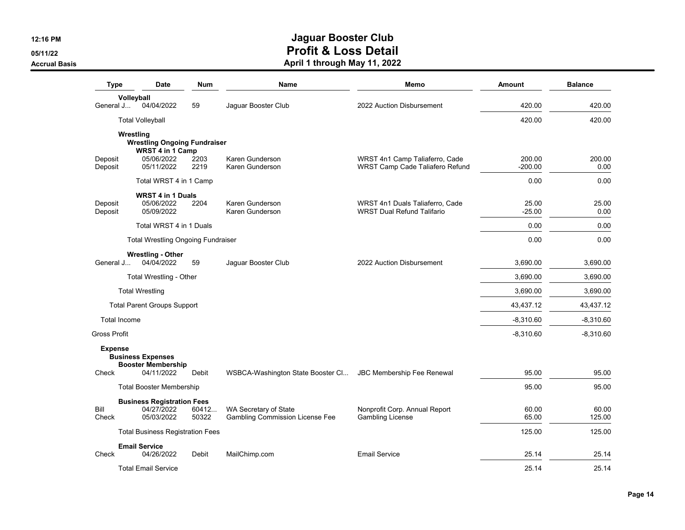**05/11/22**

**Accrual Basis**

| <b>Type</b>         | <b>Date</b>                                             | <b>Num</b>     | <b>Name</b>                                                     | Memo                                                                 | Amount              | <b>Balance</b>  |
|---------------------|---------------------------------------------------------|----------------|-----------------------------------------------------------------|----------------------------------------------------------------------|---------------------|-----------------|
| Volleyball          |                                                         |                |                                                                 |                                                                      |                     |                 |
| General J           | 04/04/2022                                              | 59             | Jaguar Booster Club                                             | 2022 Auction Disbursement                                            | 420.00              | 420.00          |
|                     | <b>Total Volleyball</b>                                 |                |                                                                 |                                                                      | 420.00              | 420.00          |
| Wrestling           | <b>Wrestling Ongoing Fundraiser</b><br>WRST 4 in 1 Camp |                |                                                                 |                                                                      |                     |                 |
| Deposit<br>Deposit  | 05/06/2022<br>05/11/2022                                | 2203<br>2219   | Karen Gunderson<br>Karen Gunderson                              | WRST 4n1 Camp Taliaferro, Cade<br>WRST Camp Cade Taliafero Refund    | 200.00<br>$-200.00$ | 200.00<br>0.00  |
|                     | Total WRST 4 in 1 Camp                                  |                |                                                                 |                                                                      | 0.00                | 0.00            |
|                     | WRST 4 in 1 Duals                                       |                |                                                                 |                                                                      |                     |                 |
| Deposit<br>Deposit  | 05/06/2022<br>05/09/2022                                | 2204           | Karen Gunderson<br>Karen Gunderson                              | WRST 4n1 Duals Taliaferro, Cade<br><b>WRST Dual Refund Talifario</b> | 25.00<br>$-25.00$   | 25.00<br>0.00   |
|                     | Total WRST 4 in 1 Duals                                 |                |                                                                 |                                                                      | 0.00                | 0.00            |
|                     | <b>Total Wrestling Ongoing Fundraiser</b>               |                |                                                                 |                                                                      | 0.00                | 0.00            |
| General J           | <b>Wrestling - Other</b><br>04/04/2022                  | 59             | Jaquar Booster Club                                             | 2022 Auction Disbursement                                            | 3.690.00            | 3.690.00        |
|                     | Total Wrestling - Other                                 |                |                                                                 |                                                                      | 3,690.00            | 3,690.00        |
|                     | <b>Total Wrestling</b>                                  |                |                                                                 |                                                                      | 3,690.00            | 3,690.00        |
|                     | <b>Total Parent Groups Support</b>                      |                |                                                                 |                                                                      | 43,437.12           | 43,437.12       |
| <b>Total Income</b> |                                                         |                |                                                                 |                                                                      | $-8,310.60$         | $-8,310.60$     |
| <b>Gross Profit</b> |                                                         |                |                                                                 |                                                                      | $-8,310.60$         | $-8,310.60$     |
| <b>Expense</b>      | <b>Business Expenses</b><br><b>Booster Membership</b>   |                |                                                                 |                                                                      |                     |                 |
| Check               | 04/11/2022                                              | Debit          | WSBCA-Washington State Booster Cl JBC Membership Fee Renewal    |                                                                      | 95.00               | 95.00           |
|                     | <b>Total Booster Membership</b>                         |                |                                                                 |                                                                      | 95.00               | 95.00           |
|                     | <b>Business Registration Fees</b>                       |                |                                                                 |                                                                      |                     |                 |
| Bill<br>Check       | 04/27/2022<br>05/03/2022                                | 60412<br>50322 | WA Secretary of State<br><b>Gambling Commission License Fee</b> | Nonprofit Corp. Annual Report<br>Gambling License                    | 60.00<br>65.00      | 60.00<br>125.00 |
|                     | <b>Total Business Registration Fees</b>                 |                |                                                                 |                                                                      | 125.00              | 125.00          |
| Check               | <b>Email Service</b><br>04/26/2022                      | Debit          | MailChimp.com                                                   | <b>Email Service</b>                                                 | 25.14               | 25.14           |
|                     | <b>Total Email Service</b>                              |                |                                                                 |                                                                      | 25.14               | 25.14           |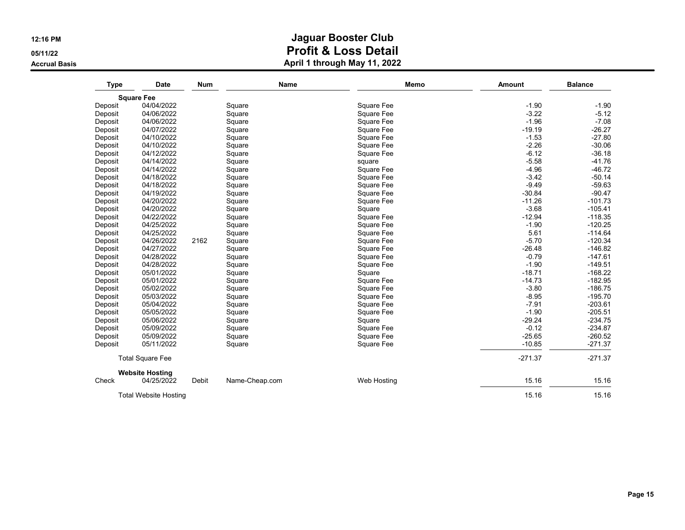**05/11/22**

**Accrual Basis**

| <b>Type</b> | <b>Date</b>                  | <b>Num</b> | <b>Name</b>    | <b>Memo</b> | <b>Amount</b> | <b>Balance</b> |
|-------------|------------------------------|------------|----------------|-------------|---------------|----------------|
|             | <b>Square Fee</b>            |            |                |             |               |                |
| Deposit     | 04/04/2022                   |            | Square         | Square Fee  | $-1.90$       | $-1.90$        |
| Deposit     | 04/06/2022                   |            | Square         | Square Fee  | $-3.22$       | $-5.12$        |
| Deposit     | 04/06/2022                   |            | Square         | Square Fee  | $-1.96$       | $-7.08$        |
| Deposit     | 04/07/2022                   |            | Square         | Square Fee  | $-19.19$      | $-26.27$       |
| Deposit     | 04/10/2022                   |            | Square         | Square Fee  | $-1.53$       | $-27.80$       |
| Deposit     | 04/10/2022                   |            | Square         | Square Fee  | $-2.26$       | $-30.06$       |
| Deposit     | 04/12/2022                   |            | Square         | Square Fee  | $-6.12$       | $-36.18$       |
| Deposit     | 04/14/2022                   |            | Square         | square      | $-5.58$       | $-41.76$       |
| Deposit     | 04/14/2022                   |            | Square         | Square Fee  | $-4.96$       | $-46.72$       |
| Deposit     | 04/18/2022                   |            | Square         | Square Fee  | $-3.42$       | $-50.14$       |
| Deposit     | 04/18/2022                   |            | Square         | Square Fee  | $-9.49$       | $-59.63$       |
| Deposit     | 04/19/2022                   |            | Square         | Square Fee  | $-30.84$      | $-90.47$       |
| Deposit     | 04/20/2022                   |            | Square         | Square Fee  | $-11.26$      | $-101.73$      |
| Deposit     | 04/20/2022                   |            | Square         | Square      | $-3.68$       | $-105.41$      |
| Deposit     | 04/22/2022                   |            | Square         | Square Fee  | $-12.94$      | $-118.35$      |
| Deposit     | 04/25/2022                   |            | Square         | Square Fee  | $-1.90$       | $-120.25$      |
| Deposit     | 04/25/2022                   |            | Square         | Square Fee  | 5.61          | $-114.64$      |
| Deposit     | 04/26/2022                   | 2162       | Square         | Square Fee  | $-5.70$       | $-120.34$      |
| Deposit     | 04/27/2022                   |            | Square         | Square Fee  | $-26.48$      | $-146.82$      |
| Deposit     | 04/28/2022                   |            | Square         | Square Fee  | $-0.79$       | $-147.61$      |
| Deposit     | 04/28/2022                   |            | Square         | Square Fee  | $-1.90$       | $-149.51$      |
| Deposit     | 05/01/2022                   |            | Square         | Square      | $-18.71$      | $-168.22$      |
| Deposit     | 05/01/2022                   |            | Square         | Square Fee  | $-14.73$      | $-182.95$      |
| Deposit     | 05/02/2022                   |            | Square         | Square Fee  | $-3.80$       | $-186.75$      |
| Deposit     | 05/03/2022                   |            | Square         | Square Fee  | $-8.95$       | $-195.70$      |
| Deposit     | 05/04/2022                   |            | Square         | Square Fee  | $-7.91$       | $-203.61$      |
| Deposit     | 05/05/2022                   |            | Square         | Square Fee  | $-1.90$       | $-205.51$      |
| Deposit     | 05/06/2022                   |            | Square         | Square      | $-29.24$      | $-234.75$      |
| Deposit     | 05/09/2022                   |            | Square         | Square Fee  | $-0.12$       | $-234.87$      |
| Deposit     | 05/09/2022                   |            | Square         | Square Fee  | $-25.65$      | $-260.52$      |
| Deposit     | 05/11/2022                   |            | Square         | Square Fee  | $-10.85$      | $-271.37$      |
|             | <b>Total Square Fee</b>      |            |                |             | $-271.37$     | $-271.37$      |
|             | <b>Website Hosting</b>       |            |                |             |               |                |
| Check       | 04/25/2022                   | Debit      | Name-Cheap.com | Web Hosting | 15.16         | 15.16          |
|             | <b>Total Website Hosting</b> |            |                |             | 15.16         | 15.16          |